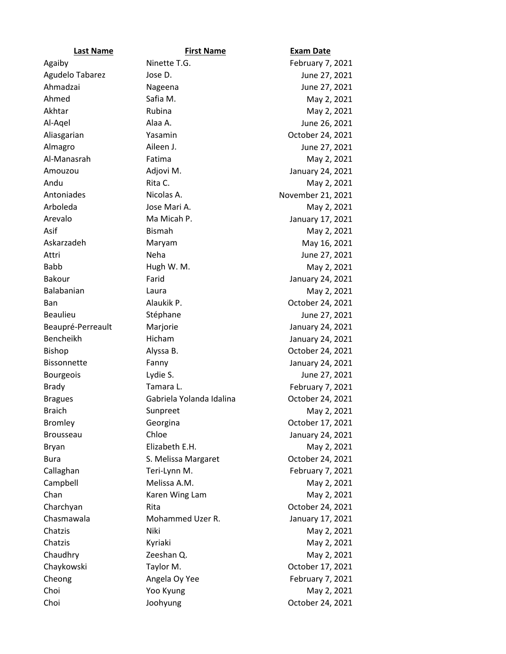| <b>Last Name</b>   | <b>First Name</b>        | <b>Exam Date</b>  |
|--------------------|--------------------------|-------------------|
| Agaiby             | Ninette T.G.             | February 7, 2021  |
| Agudelo Tabarez    | Jose D.                  | June 27, 2021     |
| Ahmadzai           | Nageena                  | June 27, 2021     |
| Ahmed              | Safia M.                 | May 2, 2021       |
| Akhtar             | Rubina                   | May 2, 2021       |
| Al-Agel            | Alaa A.                  | June 26, 2021     |
| Aliasgarian        | Yasamin                  | October 24, 2021  |
| Almagro            | Aileen J.                | June 27, 2021     |
| Al-Manasrah        | Fatima                   | May 2, 2021       |
| Amouzou            | Adjovi M.                | January 24, 2021  |
| Andu               | Rita C.                  | May 2, 2021       |
| Antoniades         | Nicolas A.               | November 21, 2021 |
| Arboleda           | Jose Mari A.             | May 2, 2021       |
| Arevalo            | Ma Micah P.              | January 17, 2021  |
| Asif               | <b>Bismah</b>            | May 2, 2021       |
| Askarzadeh         | Maryam                   | May 16, 2021      |
| Attri              | Neha                     | June 27, 2021     |
| <b>Babb</b>        | Hugh W. M.               | May 2, 2021       |
| Bakour             | Farid                    | January 24, 2021  |
| Balabanian         | Laura                    | May 2, 2021       |
| Ban                | Alaukik P.               | October 24, 2021  |
| <b>Beaulieu</b>    | Stéphane                 | June 27, 2021     |
| Beaupré-Perreault  | Marjorie                 | January 24, 2021  |
| Bencheikh          | Hicham                   | January 24, 2021  |
| <b>Bishop</b>      | Alyssa B.                | October 24, 2021  |
| <b>Bissonnette</b> | Fanny                    | January 24, 2021  |
| <b>Bourgeois</b>   | Lydie S.                 | June 27, 2021     |
| <b>Brady</b>       | Tamara L.                | February 7, 2021  |
| <b>Bragues</b>     | Gabriela Yolanda Idalina | October 24, 2021  |
| <b>Braich</b>      | Sunpreet                 | May 2, 2021       |
| <b>Bromley</b>     | Georgina                 | October 17, 2021  |
| Brousseau          | Chloe                    | January 24, 2021  |
| Bryan              | Elizabeth E.H.           | May 2, 2021       |
| <b>Bura</b>        | S. Melissa Margaret      | October 24, 2021  |
| Callaghan          | Teri-Lynn M.             | February 7, 2021  |
| Campbell           | Melissa A.M.             | May 2, 2021       |
| Chan               | Karen Wing Lam           | May 2, 2021       |
| Charchyan          | Rita                     | October 24, 2021  |
| Chasmawala         | Mohammed Uzer R.         | January 17, 2021  |
| Chatzis            | Niki                     | May 2, 2021       |
| Chatzis            | Kyriaki                  | May 2, 2021       |
| Chaudhry           | Zeeshan Q.               | May 2, 2021       |
| Chaykowski         | Taylor M.                | October 17, 2021  |
| Cheong             | Angela Oy Yee            | February 7, 2021  |
| Choi               | Yoo Kyung                | May 2, 2021       |
| Choi               | Joohyung                 | October 24, 2021  |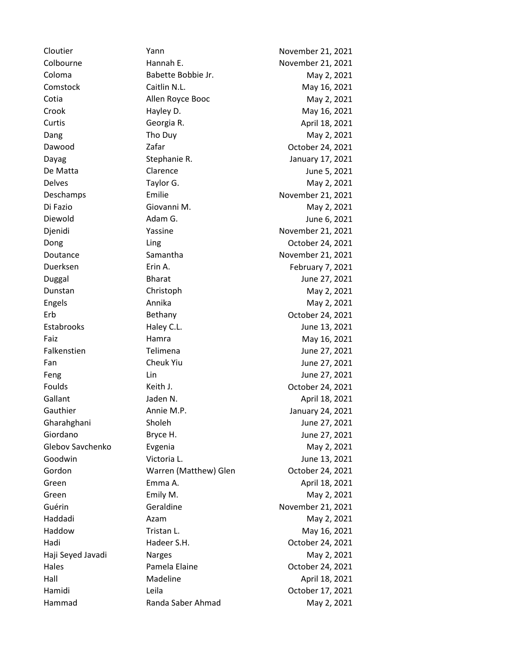Cloutier The Yann November 21, 2021 Colbourne **Hannah E.** November 21, 2021 Coloma Babette Bobbie Jr. May 2, 2021 Comstock Caitlin N.L. Cannel May 16, 2021 Cotia **Allen Royce Booc** May 2, 2021 Crook Hayley D. May 16, 2021 Curtis Georgia R. April 18, 2021 Dang Tho Duy Tho Duy May 2, 2021 Dawood Zafar October 24, 2021 Dayag Stephanie R. January 17, 2021 De Matta **Clarence** Clarence **Clarence** June 5, 2021 Delves Taylor G. May 2, 2021 Deschamps Emilie Emilie November 21, 2021 Di Fazio Giovanni M. May 2, 2021 Diewold **Adam G.** Adam G. Adam Account Adam Account Adam Account Adam Account Adam Account Adam Account Adam Account A Djenidi Yassine Yassine November 21, 2021 Dong Ling Ling Croober 24, 2021 Doutance Samantha November 21, 2021 Duerksen **Erin A.** Erin A. February 7, 2021 Duggal Bharat June 27, 2021 Dunstan Christoph Christoph May 2, 2021 Engels **Annika** Annika May 2, 2021 Erb Bethany October 24, 2021 Estabrooks Haley C.L. Sunne 13, 2021 Faiz **Hamra** Hamra May 16, 2021 Falkenstien Telimena June 27, 2021 Fan Cheuk Yiu Cheuk Yiu June 27, 2021 Feng Lin Lin Lin June 27, 2021 Foulds **Keith J. Keith J. Colober 24, 2021** Gallant Jaden N. April 18, 2021 Gauthier **Annie M.P.** Annie M.P. **January 24, 2021** Gharahghani Sholeh Sholeh June 27, 2021 Giordano Bryce H. Bryce H. June 27, 2021 Glebov Savchenko Evgenia May 2, 2021 Goodwin Victoria L. Coodwin Victoria L. Gordon Warren (Matthew) Glen October 24, 2021 Green **Emma A.** Emma A. April 18, 2021 Green Emily M. Emily M. And May 2, 2021 Guérin Geraldine Geraldine November 21, 2021 Haddadi Azam May 2, 2021 Haddow **Tristan L.** Tristan L. May 16, 2021 Hadi Hadeer S.H. Corober 24, 2021 Haji Seyed Javadi Narges May 2, 2021 Hales **Pamela Elaine Pamela Elaine Pamela Elaine Pamela Elaine Pamela Elaine Pamela Elaine Pamela Elaine** Hall Madeline Madeline April 18, 2021 Hamidi Leila October 17, 2021 Hammad Randa Saber Ahmad May 2, 2021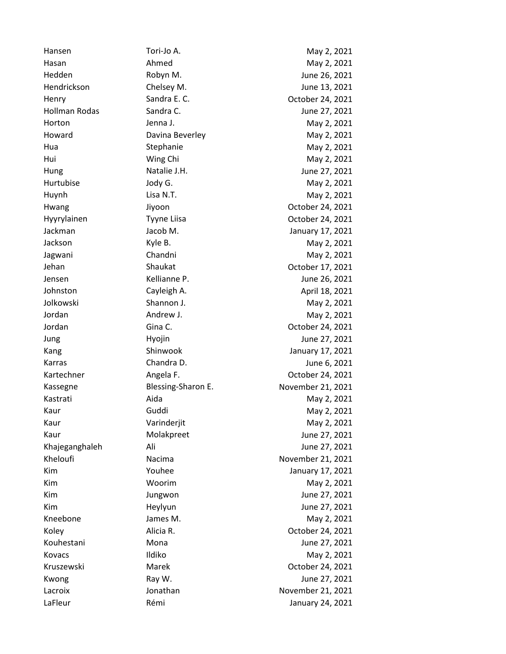Hansen Tori-Jo A. May 2, 2021 Hasan Ahmed May 2, 2021 Hedden Robyn M. June 26, 2021 Hendrickson Chelsey M. June 13, 2021 Henry Sandra E. C. Cannon Cotober 24, 2021 Hollman Rodas Sandra C. June 27, 2021 Horton Jenna J. Jenna J. May 2, 2021 Howard **Davina Beverley May 2, 2021** Hua Stephanie May 2, 2021 Hui May 2, 2021 Hung Natalie J.H. June 27, 2021 Hurtubise Jody G. Show May 2, 2021 Huynh Lisa N.T. Casa Controller May 2, 2021 Hwang Jiyoon Jiyoon October 24, 2021 Hyyrylainen Tyyne Liisa Coctober 24, 2021 Jackman Jacob M. January 17, 2021 Jackson Kyle B. May 2, 2021 Jagwani Chandni Chandni May 2, 2021 Jehan Shaukat Shaukat October 17, 2021 Jensen Kellianne P. June 26, 2021 Johnston Cayleigh A. April 18, 2021 Jolkowski Shannon J. May 2, 2021 Jordan **Andrew J.** Andrew J. May 2, 2021 Jordan Gina C. Communication Controller 24, 2021 Jung **Hyojin** Hyojin **Hyong** June 27, 2021 Kang Shinwook **Shinwook** January 17, 2021 Karras Chandra D. June 6, 2021 Kartechner **Angela F.** Angela F. **Carry Communist Communist Communist Communist Communist Communist Communist Communist Communist Communist Communist Communist Communist Communist Communist Communist Communist Communist Co** Kassegne Blessing-Sharon E. November 21, 2021 Kastrati Aida May 2, 2021 Kaur Guddi Guddi May 2, 2021 Kaur Varinderjit Varingerit May 2, 2021 Kaur Molakpreet June 27, 2021 Khajeganghaleh Ali June 27, 2021 Kheloufi Nacima Nacima November 21, 2021 Kim **The Community Community** Youhee *Vouhee* January 17, 2021 Kim **Woorim** Woorim May 2, 2021 Kim Jungwon Jungwon June 27, 2021 Kim Heylyun Heylyun June 27, 2021 Kneebone James M. May 2, 2021 Koley **Alicia R.** Alicia R. October 24, 2021 Kouhestani Mona June 27, 2021 Kovacs Ildiko May 2, 2021 Kruszewski Marek Marek October 24, 2021 Kwong Ray W. Ray Ray Research Research Museum Ray M. All the St. 2021 Lacroix **Mathan** Jonathan **November 21, 2021** LaFleur Rémi Communication Remi Communication de la Catalana de La Gaussia de La Gaussia de La Gaussia de La G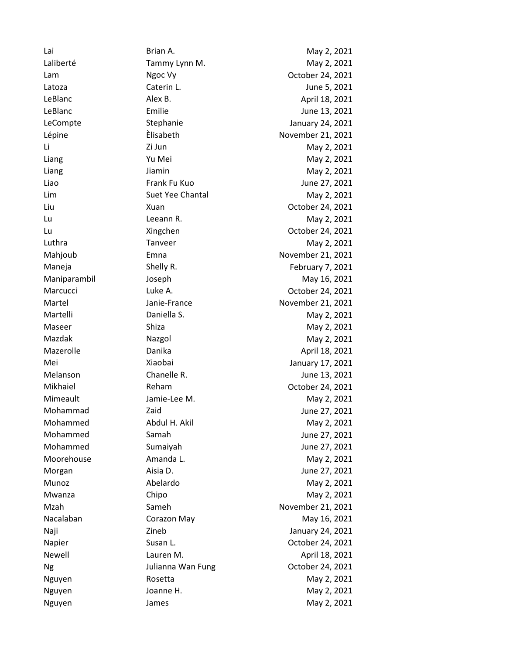Lai Brian A. May 2, 2021 Laliberté Tammy Lynn M. May 2, 2021 Lam Ngoc Vy Chamber 24, 2021 Latoza Caterin L. June 5, 2021 LeBlanc Alex B. Alex B. April 18, 2021 LeBlanc Emilie June 13, 2021 LeCompte Stephanie Stephanie January 24, 2021 Lépine **Elisabeth** Èlisabeth November 21, 2021 Li Zi Jun May 2, 2021 Liang Contract Contract Contract Contract Contract Contract Contract Contract Contract Contract Contract Contract Contract Contract Contract Contract Contract Contract Contract Contract Contract Contract Contract Contract Liang Jiamin May 2, 2021 Liao Frank Fu Kuo June 27, 2021 Lim Suet Yee Chantal May 2, 2021 Liu Charles Xuan Xuan Charles Cotober 24, 2021 Lu Leeann R. May 2, 2021 Lu Xingchen October 24, 2021 Luthra **Tanveer** Tanveer May 2, 2021 Mahjoub Emna Emna November 21, 2021 Maneja Shelly R. Shelly R. February 7, 2021 Maniparambil Joseph May 16, 2021 Marcucci Luke A. Corollars Luke A. Corollars Corollars Corollars Corollars Corollars Corollars Corollars Corollars Corollars Corollars Corollars Corollars Corollars Corollars Corollars Corollars Corollars Corollars Corolla Martel **Martel Martel Janie-France November 21, 2021** Martelli **Daniella S.** Daniella S. May 2, 2021 Maseer Shiza Shiza Shiza May 2, 2021 Mazdak Nazgol May 2, 2021 Mazerolle **Manita** Danika **April 18, 2021** Mei Xiaobai January 17, 2021 Melanson Chanelle R. June 13, 2021 Mikhaiel Reham Reham October 24, 2021 Mimeault **Jamie-Lee M.** Mimeault **May 2**, 2021 Mohammad Zaid Zaid June 27, 2021 Mohammed Abdul H. Akil May 2, 2021 Mohammed Samah Samah June 27, 2021 Mohammed Sumaiyah June 27, 2021 Moorehouse **Amanda L.** Amanda L. May 2, 2021 Morgan **Aisia D.** Aisia D. **June 27, 2021** Munoz Abelardo May 2, 2021 Mwanza Chipo Chipo May 2, 2021 Mzah Sameh Sameh November 21, 2021 Nacalaban **Corazon May** Corazon May **May 16, 2021** Naji **Naji** Zineb Zineb January 24, 2021 Napier Susan L. Susan L. Cotober 24, 2021 Newell **Lauren M.** Cause 1 and 2021 Ng Julianna Wan Fung Dictober 24, 2021 Nguyen Rosetta May 2, 2021 Nguyen Joanne H. May 2, 2021 Nguyen James James May 2, 2021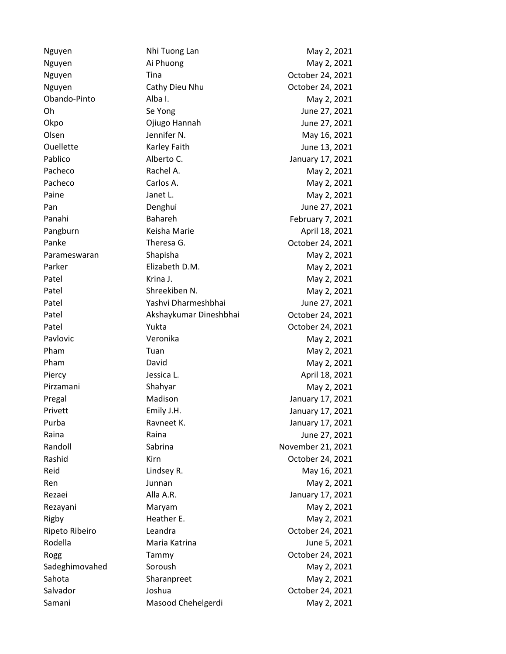Nguyen Nay 2, 2021 Nguyen Ai Phuong May 2, 2021 Nguyen Tina Tina October 24, 2021 Nguyen Cathy Dieu Nhu Cotober 24, 2021 Obando-Pinto Alba I. May 2, 2021 Oh Se Yong June 27, 2021 Okpo Ojiugo Hannah June 27, 2021 Olsen Jennifer N. May 16, 2021 Ouellette Karley Faith June 13, 2021 Pablico Malberto C. Alberto C. Alberto C. Annuary 17, 2021 Pacheco Rachel A. Nav 2, 2021 Pacheco Carlos A. Carlos A. May 2, 2021 Paine **Janet L.** Janet L. May 2, 2021 Pan Denghui Denghui June 27, 2021 Panahi Bahareh February 7, 2021 Pangburn Keisha Marie **April 18, 2021** Panke Theresa G. Controller 24, 2021 Parameswaran Shapisha Shapisha May 2, 2021 Parker Elizabeth D.M. May 2, 2021 Patel **May 2, 2021** Krina J. Patel Shreekiben N. May 2, 2021 Patel Yashvi Dharmeshbhai June 27, 2021 Patel Akshaykumar Dineshbhai October 24, 2021 Patel **Patel** Yukta **Communist Patel** October 24, 2021 Pavlovic **Veronika** Veronika May 2, 2021 Pham Tuan Tuan Tuan May 2, 2021 Pham David David David May 2, 2021 Piercy **Contract Design April 18, 2021** Jessica L. Pirzamani Shahyar Shahyar May 2, 2021 Pregal Madison Madison January 17, 2021 Privett Emily J.H. Emily J.H. January 17, 2021 Purba **Ravneet K.** January 17, 2021 Raina **Raina** Raina Raina Raina Raina Raina Raina Raina Raina Raina Raina Raina Raina Raina Raina Raina Raina R Randoll Sabrina Sabrina November 21, 2021 Rashid Kirn Kirn Cotober 24, 2021 Reid **Lindsey R.** Communication Communication Communication Communication Communication Communication Communication Communication Communication Communication Communication Communication Communication Communication Communic Ren Junnan Junnan May 2, 2021 Rezaei **Alla A.R.** Alla A.R. January 17, 2021 Rezayani Maryam May 2, 2021 Rigby **Heather E.** May 2, 2021 Ripeto Ribeiro **Leandra** Chemical Correspondent Leandra Correspondent Leandra Correspondent Correspondent Correspondent Correspondent Correspondent Correspondent Correspondent Correspondent Correspondent Correspondent Corr Rodella Maria Katrina **Maria Katrina** Maria Katrina Maria Kateria kategoria kwa kutoka 1982. Nyingi hasila na m Rogg Tammy Tammy October 24, 2021 Sadeghimovahed Soroush Soroush May 2, 2021 Sahota Sharanpreet May 2, 2021 Salvador Joshua October 24, 2021 Samani Masood Chehelgerdi May 2, 2021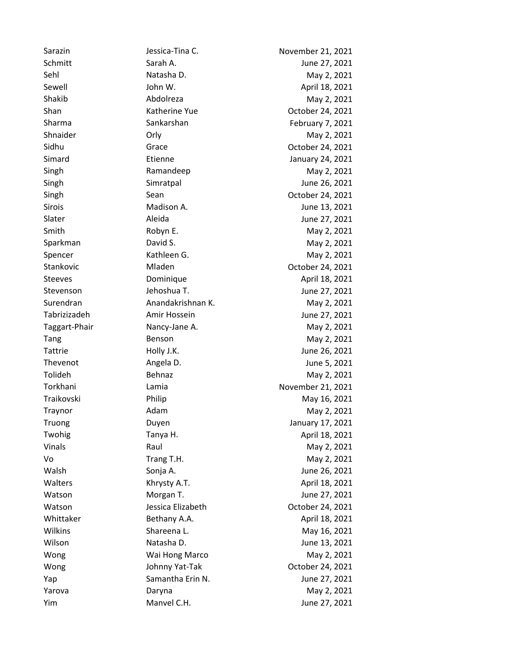Sarazin **Immunity Sessica-Tina C.** Movember 21, 2021 Schmitt Sarah A. Sarah A. Sarah A. Sarah A. Sarah A. Sarah A. Sarah A. Sarah A. Sarah A. Sarah A. Sarah A. Sarah A. Sarah A. Sarah A. Sarah A. Sarah A. Sarah A. Sarah A. Sarah A. Sarah A. Sarah A. Sarah A. Sarah A. Sarah A Sehl **Natasha D.** May 2, 2021 Sewell **Sewell** John W. April 18, 2021 Shakib Abdolreza May 2, 2021 Shan Katherine Yue Colober 24, 2021 Sharma Sankarshan Sankarshan February 7, 2021 Shnaider **Orly** Orly **May 2, 2021** Sidhu Grace Grace Coronary Grace Coronary Coronary Coronary October 24, 2021 Simard Etienne **Example 24, 2021** Singh Ramandeep May 2, 2021 Singh Simratpal Simratpal June 26, 2021 Singh Sean Sean Corober 24, 2021 Sirois Madison A. June 13, 2021 Slater **Aleida** Aleida Aleida June 27, 2021 Smith Robyn E. May 2, 2021 Sparkman **David S.** David S. May 2, 2021 Spencer Kathleen G. May 2, 2021 Stankovic Mladen Media Museum October 24, 2021 Steeves **Dominique Community** Dominique **April 18, 2021** Stevenson Jehoshua T. June 27, 2021 Surendran May 2, 2021 May 2, 2021 Tabrizizadeh Amir Hossein June 27, 2021 Taggart-Phair **Nancy-Jane A.** Mancy-Jane A. May 2, 2021 Tang Benson Benson May 2, 2021 Tattrie Holly J.K. June 26, 2021 Thevenot **Angela D.** Angela D. June 5, 2021 Tolideh Behnaz Behnaz May 2, 2021 Torkhani Lamia Lamia November 21, 2021 Traikovski Philip Philip May 16, 2021 Traynor **Adam** Adam May 2, 2021 Truong Duyen Duyen Duyen January 17, 2021 Twohig Tanya H. April 18, 2021 Vinals **Raul** Raul May 2, 2021 Vo Trang T.H. May 2, 2021 Walsh Sonja A. Communication Sonja A. Communication Sonja A. Communication Sonja A. Communication Sonja A. Communication Sonja A. Communication Sonja A. Communication Sonja A. Communication Sonja A. Communication Sonja A. Walters **Khrysty A.T.** April 18, 2021 Watson Morgan T. Communication Morgan T. Watson Jessica Elizabeth October 24, 2021 Whittaker Bethany A.A. April 18, 2021 Wilkins Shareena L. May 16, 2021 Wilson Natasha D. Natasha D. June 13, 2021 Wong Wai Hong Marco May 2, 2021 Wong Johnny Yat-Tak Coctober 24, 2021 Yap Samantha Erin N. June 27, 2021 Yarova Daryna May 2, 2021 Yim Manvel C.H. June 27, 2021